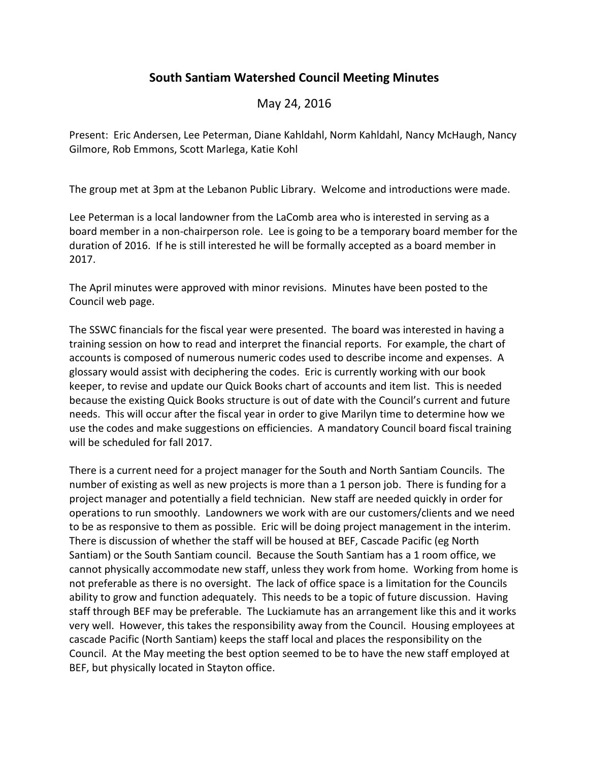## **South Santiam Watershed Council Meeting Minutes**

## May 24, 2016

Present: Eric Andersen, Lee Peterman, Diane Kahldahl, Norm Kahldahl, Nancy McHaugh, Nancy Gilmore, Rob Emmons, Scott Marlega, Katie Kohl

The group met at 3pm at the Lebanon Public Library. Welcome and introductions were made.

Lee Peterman is a local landowner from the LaComb area who is interested in serving as a board member in a non-chairperson role. Lee is going to be a temporary board member for the duration of 2016. If he is still interested he will be formally accepted as a board member in 2017.

The April minutes were approved with minor revisions. Minutes have been posted to the Council web page.

The SSWC financials for the fiscal year were presented. The board was interested in having a training session on how to read and interpret the financial reports. For example, the chart of accounts is composed of numerous numeric codes used to describe income and expenses. A glossary would assist with deciphering the codes. Eric is currently working with our book keeper, to revise and update our Quick Books chart of accounts and item list. This is needed because the existing Quick Books structure is out of date with the Council's current and future needs. This will occur after the fiscal year in order to give Marilyn time to determine how we use the codes and make suggestions on efficiencies. A mandatory Council board fiscal training will be scheduled for fall 2017.

There is a current need for a project manager for the South and North Santiam Councils. The number of existing as well as new projects is more than a 1 person job. There is funding for a project manager and potentially a field technician. New staff are needed quickly in order for operations to run smoothly. Landowners we work with are our customers/clients and we need to be as responsive to them as possible. Eric will be doing project management in the interim. There is discussion of whether the staff will be housed at BEF, Cascade Pacific (eg North Santiam) or the South Santiam council. Because the South Santiam has a 1 room office, we cannot physically accommodate new staff, unless they work from home. Working from home is not preferable as there is no oversight. The lack of office space is a limitation for the Councils ability to grow and function adequately. This needs to be a topic of future discussion. Having staff through BEF may be preferable. The Luckiamute has an arrangement like this and it works very well. However, this takes the responsibility away from the Council. Housing employees at cascade Pacific (North Santiam) keeps the staff local and places the responsibility on the Council. At the May meeting the best option seemed to be to have the new staff employed at BEF, but physically located in Stayton office.